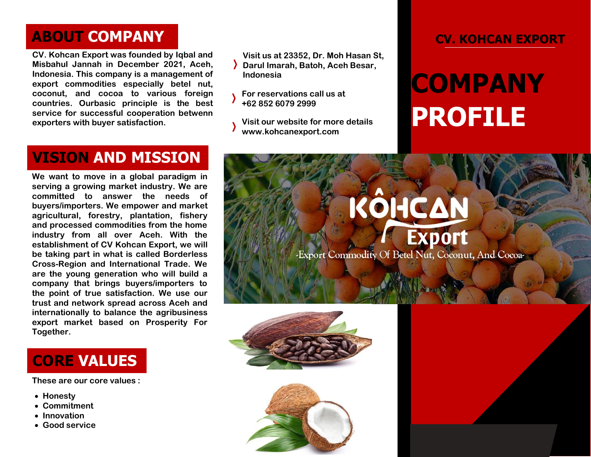## **ABOUT COMPANY**

**CV. Kohcan Export was founded by Iqbal and Misbahul Jannah in December 2021, Aceh, Indonesia. This company is a management of export commodities especially betel nut, coconut, and cocoa to various foreign countries. Ourbasic principle is the best service for successful cooperation betwenn exporters with buyer satisfaction.**

**VISION AND MISSION**

**We want to move in a global paradigm in serving a growing market industry. We are committed to answer the needs of buyers/importers. We empower and market agricultural, forestry, plantation, fishery and processed commodities from the home industry from all over Aceh. With the establishment of CV Kohcan Export, we will be taking part in what is called Borderless Cross-Region and International Trade. We are the young generation who will build a company that brings buyers/importers to the point of true satisfaction. We use our trust and network spread across Aceh and internationally to balance the agribusiness export market based on Prosperity For Together.**

**CORE VALUES**

**These are our core values :**

- **Honesty**
- **Commitment**
- **Innovation**
- **Good service**

**Visit us at 23352, Dr. Moh Hasan St, Darul Imarah, Batoh, Aceh Besar, Indonesia**

**For reservations call us at +62 852 6079 2999**

**Visit our website for more details www.kohcanexport.com**

#### **CV. KOHCAN EXPORT**

# **COMPANY PROFILE**